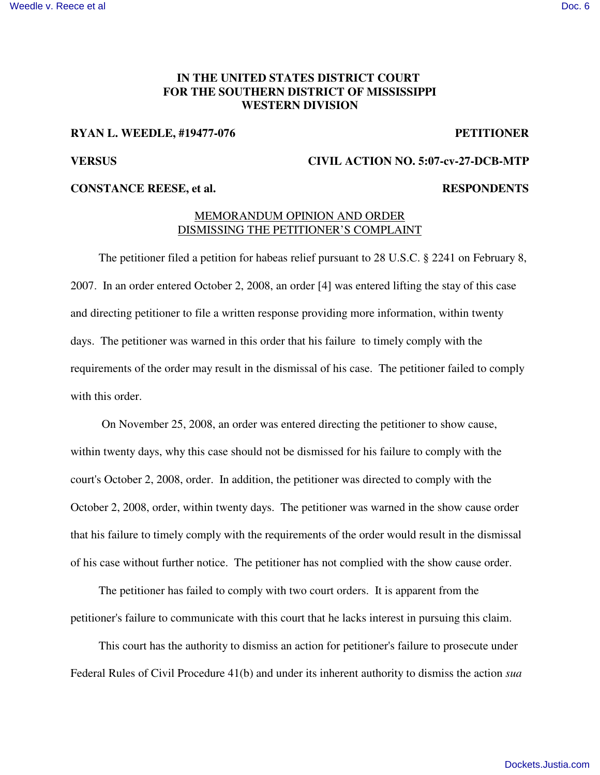## **IN THE UNITED STATES DISTRICT COURT FOR THE SOUTHERN DISTRICT OF MISSISSIPPI WESTERN DIVISION**

### **RYAN L. WEEDLE, #19477-076 PETITIONER**

## **VERSUS CIVIL ACTION NO. 5:07-cv-27-DCB-MTP**

### **CONSTANCE REESE, et al. RESPONDENTS**

# MEMORANDUM OPINION AND ORDER DISMISSING THE PETITIONER'S COMPLAINT

The petitioner filed a petition for habeas relief pursuant to 28 U.S.C. § 2241 on February 8, 2007. In an order entered October 2, 2008, an order [4] was entered lifting the stay of this case and directing petitioner to file a written response providing more information, within twenty days. The petitioner was warned in this order that his failure to timely comply with the requirements of the order may result in the dismissal of his case. The petitioner failed to comply with this order.

On November 25, 2008, an order was entered directing the petitioner to show cause, within twenty days, why this case should not be dismissed for his failure to comply with the court's October 2, 2008, order. In addition, the petitioner was directed to comply with the October 2, 2008, order, within twenty days. The petitioner was warned in the show cause order that his failure to timely comply with the requirements of the order would result in the dismissal of his case without further notice. The petitioner has not complied with the show cause order.

The petitioner has failed to comply with two court orders. It is apparent from the petitioner's failure to communicate with this court that he lacks interest in pursuing this claim.

This court has the authority to dismiss an action for petitioner's failure to prosecute under Federal Rules of Civil Procedure 41(b) and under its inherent authority to dismiss the action *sua*